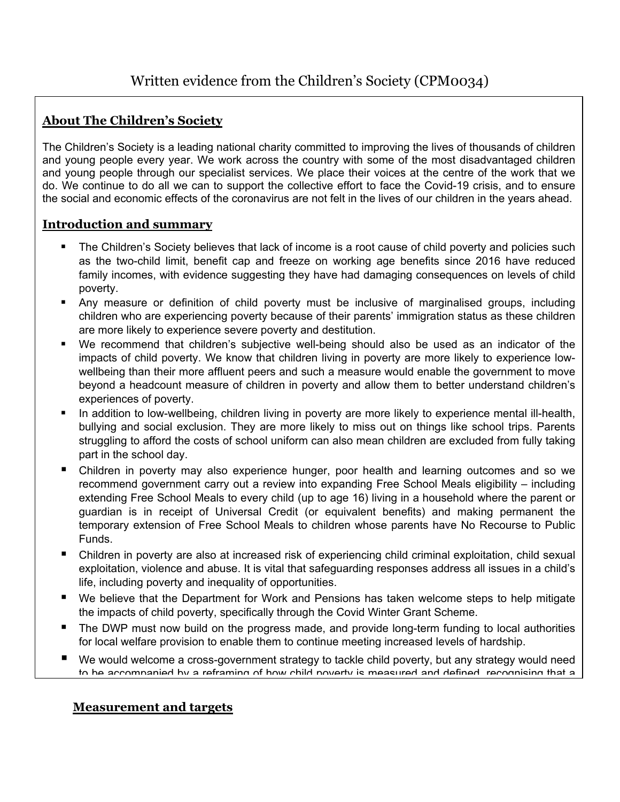## **About The Children's Society**

The Children's Society is a leading national charity committed to improving the lives of thousands of children and young people every year. We work across the country with some of the most disadvantaged children and young people through our specialist services. We place their voices at the centre of the work that we do. We continue to do all we can to support the collective effort to face the Covid-19 crisis, and to ensure the social and economic effects of the coronavirus are not felt in the lives of our children in the years ahead.

## **Introduction and summary**

- **The Children's Society believes that lack of income is a root cause of child poverty and policies such** as the two-child limit, benefit cap and freeze on working age benefits since 2016 have reduced family incomes, with evidence suggesting they have had damaging consequences on levels of child poverty.
- Any measure or definition of child poverty must be inclusive of marginalised groups, including children who are experiencing poverty because of their parents' immigration status as these children are more likely to experience severe poverty and destitution.
- We recommend that children's subjective well-being should also be used as an indicator of the impacts of child poverty. We know that children living in poverty are more likely to experience lowwellbeing than their more affluent peers and such a measure would enable the government to move beyond a headcount measure of children in poverty and allow them to better understand children's experiences of poverty.
- In addition to low-wellbeing, children living in poverty are more likely to experience mental ill-health, bullying and social exclusion. They are more likely to miss out on things like school trips. Parents struggling to afford the costs of school uniform can also mean children are excluded from fully taking part in the school day.
- Children in poverty may also experience hunger, poor health and learning outcomes and so we recommend government carry out a review into expanding Free School Meals eligibility – including extending Free School Meals to every child (up to age 16) living in a household where the parent or guardian is in receipt of Universal Credit (or equivalent benefits) and making permanent the temporary extension of Free School Meals to children whose parents have No Recourse to Public Funds.
- Children in poverty are also at increased risk of experiencing child criminal exploitation, child sexual exploitation, violence and abuse. It is vital that safeguarding responses address all issues in a child's life, including poverty and inequality of opportunities.
- We believe that the Department for Work and Pensions has taken welcome steps to help mitigate the impacts of child poverty, specifically through the Covid Winter Grant Scheme.
- The DWP must now build on the progress made, and provide long-term funding to local authorities for local welfare provision to enable them to continue meeting increased levels of hardship.
- We would welcome <sup>a</sup> cross-government strategy to tackle child poverty, but any strategy would need to he accompanied by a reframing of how child poverty is measured and defined, recognising that a

# **Measurement and targets**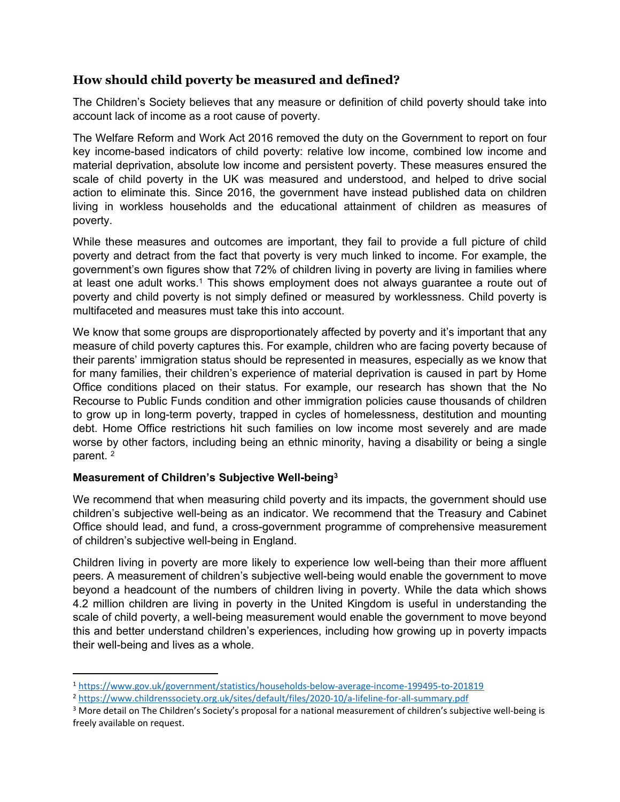## **How should child poverty be measured and defined?**

The Children's Society believes that any measure or definition of child poverty should take into account lack of income as a root cause of poverty.

The Welfare Reform and Work Act 2016 removed the duty on the Government to report on four key income-based indicators of child poverty: relative low income, combined low income and material deprivation, absolute low income and persistent poverty. These measures ensured the scale of child poverty in the UK was measured and understood, and helped to drive social action to eliminate this. Since 2016, the government have instead published data on children living in workless households and the educational attainment of children as measures of poverty.

While these measures and outcomes are important, they fail to provide a full picture of child poverty and detract from the fact that poverty is very much linked to income. For example, the government's own figures show that 72% of children living in poverty are living in families where at least one adult works.<sup>1</sup> This shows employment does not always quarantee a route out of poverty and child poverty is not simply defined or measured by worklessness. Child poverty is multifaceted and measures must take this into account.

We know that some groups are disproportionately affected by poverty and it's important that any measure of child poverty captures this. For example, children who are facing poverty because of their parents' immigration status should be represented in measures, especially as we know that for many families, their children's experience of material deprivation is caused in part by Home Office conditions placed on their status. For example, our research has shown that the No Recourse to Public Funds condition and other immigration policies cause thousands of children to grow up in long-term poverty, trapped in cycles of homelessness, destitution and mounting debt. Home Office restrictions hit such families on low income most severely and are made worse by other factors, including being an ethnic minority, having a disability or being a single parent. <sup>2</sup>

#### **Measurement of Children's Subjective Well-being<sup>3</sup>**

We recommend that when measuring child poverty and its impacts, the government should use children's subjective well-being as an indicator. We recommend that the Treasury and Cabinet Office should lead, and fund, a cross-government programme of comprehensive measurement of children's subjective well-being in England.

Children living in poverty are more likely to experience low well-being than their more affluent peers. A measurement of children's subjective well-being would enable the government to move beyond a headcount of the numbers of children living in poverty. While the data which shows 4.2 million children are living in poverty in the United Kingdom is useful in understanding the scale of child poverty, a well-being measurement would enable the government to move beyond this and better understand children's experiences, including how growing up in poverty impacts their well-being and lives as a whole.

<sup>1</sup> <https://www.gov.uk/government/statistics/households-below-average-income-199495-to-201819>

<sup>2</sup> <https://www.childrenssociety.org.uk/sites/default/files/2020-10/a-lifeline-for-all-summary.pdf>

<sup>&</sup>lt;sup>3</sup> More detail on The Children's Society's proposal for a national measurement of children's subjective well-being is freely available on request.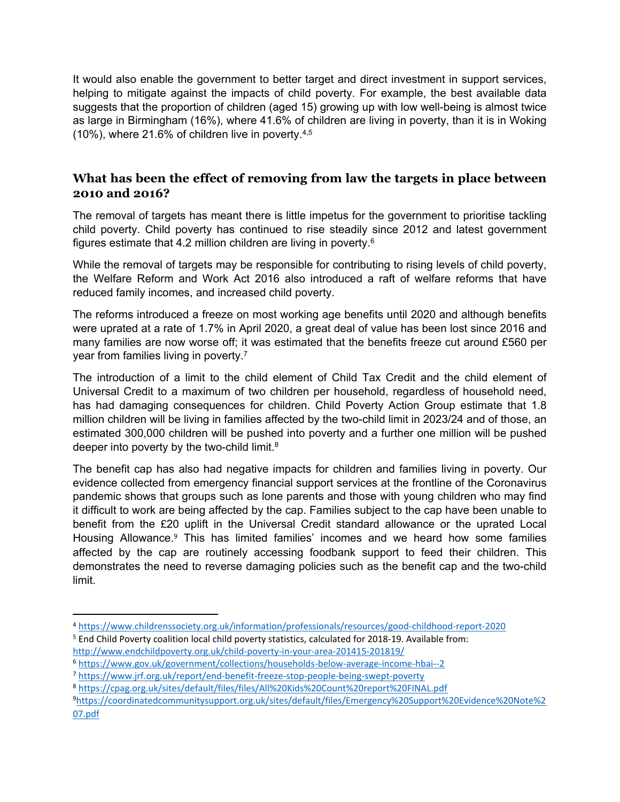It would also enable the government to better target and direct investment in support services, helping to mitigate against the impacts of child poverty. For example, the best available data suggests that the proportion of children (aged 15) growing up with low well-being is almost twice as large in Birmingham (16%), where 41.6% of children are living in poverty, than it is in Woking (10%), where 21.6% of children live in poverty.4,5

## **What has been the effect of removing from law the targets in place between 2010 and 2016?**

The removal of targets has meant there is little impetus for the government to prioritise tackling child poverty. Child poverty has continued to rise steadily since 2012 and latest government figures estimate that 4.2 million children are living in poverty.<sup>6</sup>

While the removal of targets may be responsible for contributing to rising levels of child poverty, the Welfare Reform and Work Act 2016 also introduced a raft of welfare reforms that have reduced family incomes, and increased child poverty.

The reforms introduced a freeze on most working age benefits until 2020 and although benefits were uprated at a rate of 1.7% in April 2020, a great deal of value has been lost since 2016 and many families are now worse off; it was estimated that the benefits freeze cut around £560 per year from families living in poverty.<sup>7</sup>

The introduction of a limit to the child element of Child Tax Credit and the child element of Universal Credit to a maximum of two children per household, regardless of household need, has had damaging consequences for children. Child Poverty Action Group estimate that 1.8 million children will be living in families affected by the two-child limit in 2023/24 and of those, an estimated 300,000 children will be pushed into poverty and a further one million will be pushed deeper into poverty by the two-child limit. $8$ 

The benefit cap has also had negative impacts for children and families living in poverty. Our evidence collected from emergency financial support services at the frontline of the Coronavirus pandemic shows that groups such as lone parents and those with young children who may find it difficult to work are being affected by the cap. Families subject to the cap have been unable to benefit from the £20 uplift in the Universal Credit standard allowance or the uprated Local Housing Allowance.<sup>9</sup> This has limited families' incomes and we heard how some families affected by the cap are routinely accessing foodbank support to feed their children. This demonstrates the need to reverse damaging policies such as the benefit cap and the two-child limit.

<sup>5</sup> End Child Poverty coalition local child poverty statistics, calculated for 2018-19. Available from: <http://www.endchildpoverty.org.uk/child-poverty-in-your-area-201415-201819/>

<sup>4</sup> <https://www.childrenssociety.org.uk/information/professionals/resources/good-childhood-report-2020>

<sup>6</sup> <https://www.gov.uk/government/collections/households-below-average-income-hbai--2>

<sup>7</sup> <https://www.jrf.org.uk/report/end-benefit-freeze-stop-people-being-swept-poverty>

<sup>8</sup> <https://cpag.org.uk/sites/default/files/files/All%20Kids%20Count%20report%20FINAL.pdf>

<sup>9</sup>[https://coordinatedcommunitysupport.org.uk/sites/default/files/Emergency%20Support%20Evidence%20Note%2](https://coordinatedcommunitysupport.org.uk/sites/default/files/Emergency%20Support%20Evidence%20Note%207.pdf) [07.pdf](https://coordinatedcommunitysupport.org.uk/sites/default/files/Emergency%20Support%20Evidence%20Note%207.pdf)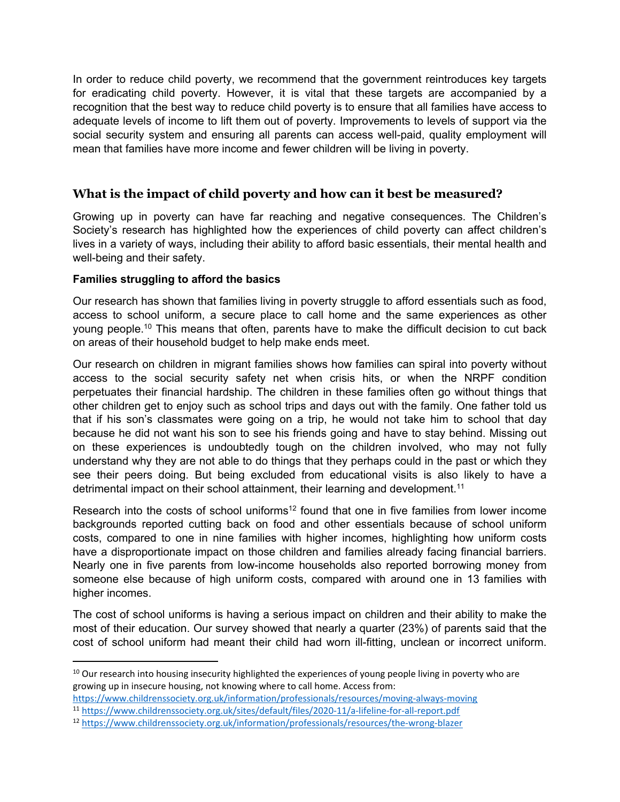In order to reduce child poverty, we recommend that the government reintroduces key targets for eradicating child poverty. However, it is vital that these targets are accompanied by a recognition that the best way to reduce child poverty is to ensure that all families have access to adequate levels of income to lift them out of poverty. Improvements to levels of support via the social security system and ensuring all parents can access well-paid, quality employment will mean that families have more income and fewer children will be living in poverty.

## **What is the impact of child poverty and how can it best be measured?**

Growing up in poverty can have far reaching and negative consequences. The Children's Society's research has highlighted how the experiences of child poverty can affect children's lives in a variety of ways, including their ability to afford basic essentials, their mental health and well-being and their safety.

#### **Families struggling to afford the basics**

Our research has shown that families living in poverty struggle to afford essentials such as food, access to school uniform, a secure place to call home and the same experiences as other young people.<sup>10</sup> This means that often, parents have to make the difficult decision to cut back on areas of their household budget to help make ends meet.

Our research on children in migrant families shows how families can spiral into poverty without access to the social security safety net when crisis hits, or when the NRPF condition perpetuates their financial hardship. The children in these families often go without things that other children get to enjoy such as school trips and days out with the family. One father told us that if his son's classmates were going on a trip, he would not take him to school that day because he did not want his son to see his friends going and have to stay behind. Missing out on these experiences is undoubtedly tough on the children involved, who may not fully understand why they are not able to do things that they perhaps could in the past or which they see their peers doing. But being excluded from educational visits is also likely to have a detrimental impact on their school attainment, their learning and development.<sup>11</sup>

Research into the costs of school uniforms<sup>12</sup> found that one in five families from lower income backgrounds reported cutting back on food and other essentials because of school uniform costs, compared to one in nine families with higher incomes, highlighting how uniform costs have a disproportionate impact on those children and families already facing financial barriers. Nearly one in five parents from low-income households also reported borrowing money from someone else because of high uniform costs, compared with around one in 13 families with higher incomes.

The cost of school uniforms is having a serious impact on children and their ability to make the most of their education. Our survey showed that nearly a quarter (23%) of parents said that the cost of school uniform had meant their child had worn ill-fitting, unclean or incorrect uniform.

<sup>&</sup>lt;sup>10</sup> Our research into housing insecurity highlighted the experiences of young people living in poverty who are growing up in insecure housing, not knowing where to call home. Access from:

<https://www.childrenssociety.org.uk/information/professionals/resources/moving-always-moving>

<sup>11</sup> <https://www.childrenssociety.org.uk/sites/default/files/2020-11/a-lifeline-for-all-report.pdf>

<sup>12</sup> <https://www.childrenssociety.org.uk/information/professionals/resources/the-wrong-blazer>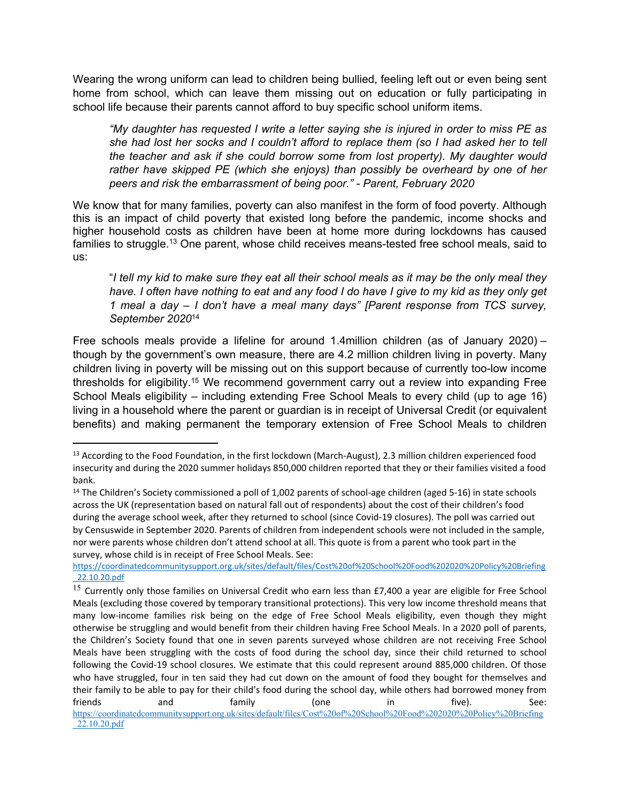Wearing the wrong uniform can lead to children being bullied, feeling left out or even being sent home from school, which can leave them missing out on education or fully participating in school life because their parents cannot afford to buy specific school uniform items.

*"My daughter has requested I write a letter saying she is injured in order to miss PE as she had lost her socks and I couldn't afford to replace them (so I had asked her to tell the teacher and ask if she could borrow some from lost property). My daughter would rather have skipped PE (which she enjoys) than possibly be overheard by one of her peers and risk the embarrassment of being poor." - Parent, February 2020*

We know that for many families, poverty can also manifest in the form of food poverty. Although this is an impact of child poverty that existed long before the pandemic, income shocks and higher household costs as children have been at home more during lockdowns has caused families to struggle.<sup>13</sup> One parent, whose child receives means-tested free school meals, said to us:

"I tell my kid to make sure they eat all their school meals as it may be the only meal they have. I often have nothing to eat and any food I do have I give to my kid as they only get *1 meal a day – I don't have a meal many days" [Parent response from TCS survey, September 2020*<sup>14</sup>

Free schools meals provide a lifeline for around 1.4million children (as of January 2020) – though by the government's own measure, there are 4.2 million children living in poverty. Many children living in poverty will be missing out on this support because of currently too-low income thresholds for eligibility.<sup>15</sup> We recommend government carry out a review into expanding Free School Meals eligibility – including extending Free School Meals to every child (up to age 16) living in a household where the parent or guardian is in receipt of Universal Credit (or equivalent benefits) and making permanent the temporary extension of Free School Meals to children

<sup>13</sup> According to the Food Foundation, in the first lockdown (March-August), 2.3 million children experienced food insecurity and during the 2020 summer holidays 850,000 children reported that they or their families visited a food bank.

<sup>&</sup>lt;sup>14</sup> The Children's Society commissioned a poll of 1,002 parents of school-age children (aged 5-16) in state schools across the UK (representation based on natural fall out of respondents) about the cost of their children's food during the average school week, after they returned to school (since Covid-19 closures). The poll was carried out by Censuswide in September 2020. Parents of children from independent schools were not included in the sample, nor were parents whose children don't attend school at all. This quote is from a parent who took part in the survey, whose child is in receipt of Free School Meals. See:

[https://coordinatedcommunitysupport.org.uk/sites/default/files/Cost%20of%20School%20Food%202020%20Policy%20Briefing](https://coordinatedcommunitysupport.org.uk/sites/default/files/Cost%20of%20School%20Food%202020%20Policy%20Briefing_22.10.20.pdf) [\\_22.10.20.pdf](https://coordinatedcommunitysupport.org.uk/sites/default/files/Cost%20of%20School%20Food%202020%20Policy%20Briefing_22.10.20.pdf)

 $15$  Currently only those families on Universal Credit who earn less than £7,400 a year are eligible for Free School Meals (excluding those covered by temporary transitional protections). This very low income threshold means that many low-income families risk being on the edge of Free School Meals eligibility, even though they might otherwise be struggling and would benefit from their children having Free School Meals. In a 2020 poll of parents, the Children's Society found that one in seven parents surveyed whose children are not receiving Free School Meals have been struggling with the costs of food during the school day, since their child returned to school following the Covid-19 school closures. We estimate that this could represent around 885,000 children. Of those who have struggled, four in ten said they had cut down on the amount of food they bought for themselves and their family to be able to pay for their child's food during the school day, while others had borrowed money from friends and family (one in five). See: [https://coordinatedcommunitysupport.org.uk/sites/default/files/Cost%20of%20School%20Food%202020%20Policy%20Briefing](https://coordinatedcommunitysupport.org.uk/sites/default/files/Cost%20of%20School%20Food%202020%20Policy%20Briefing_22.10.20.pdf) [\\_22.10.20.pdf](https://coordinatedcommunitysupport.org.uk/sites/default/files/Cost%20of%20School%20Food%202020%20Policy%20Briefing_22.10.20.pdf)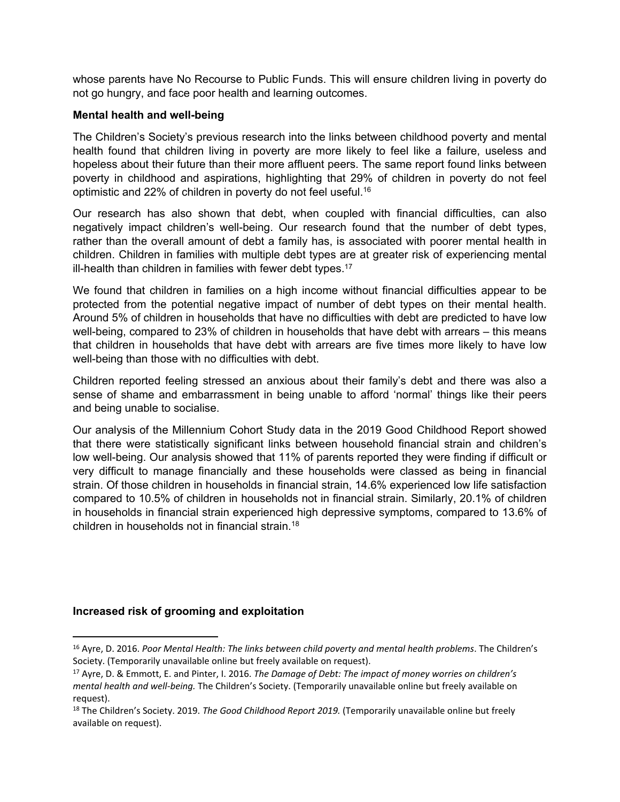whose parents have No Recourse to Public Funds. This will ensure children living in poverty do not go hungry, and face poor health and learning outcomes.

#### **Mental health and well-being**

The Children's Society's previous research into the links between childhood poverty and mental health found that children living in poverty are more likely to feel like a failure, useless and hopeless about their future than their more affluent peers. The same report found links between poverty in childhood and aspirations, highlighting that 29% of children in poverty do not feel optimistic and 22% of children in poverty do not feel useful.<sup>16</sup>

Our research has also shown that debt, when coupled with financial difficulties, can also negatively impact children's well-being. Our research found that the number of debt types, rather than the overall amount of debt a family has, is associated with poorer mental health in children. Children in families with multiple debt types are at greater risk of experiencing mental ill-health than children in families with fewer debt types.<sup>17</sup>

We found that children in families on a high income without financial difficulties appear to be protected from the potential negative impact of number of debt types on their mental health. Around 5% of children in households that have no difficulties with debt are predicted to have low well-being, compared to 23% of children in households that have debt with arrears – this means that children in households that have debt with arrears are five times more likely to have low well-being than those with no difficulties with debt.

Children reported feeling stressed an anxious about their family's debt and there was also a sense of shame and embarrassment in being unable to afford 'normal' things like their peers and being unable to socialise.

Our analysis of the Millennium Cohort Study data in the 2019 Good Childhood Report showed that there were statistically significant links between household financial strain and children's low well-being. Our analysis showed that 11% of parents reported they were finding if difficult or very difficult to manage financially and these households were classed as being in financial strain. Of those children in households in financial strain, 14.6% experienced low life satisfaction compared to 10.5% of children in households not in financial strain. Similarly, 20.1% of children in households in financial strain experienced high depressive symptoms, compared to 13.6% of children in households not in financial strain.<sup>18</sup>

#### **Increased risk of grooming and exploitation**

<sup>16</sup> Ayre, D. 2016. *Poor Mental Health: The links between child poverty and mental health problems*. The Children's Society. (Temporarily unavailable online but freely available on request).

<sup>17</sup> Ayre, D. & Emmott, E. and Pinter, I. 2016. *The Damage of Debt: The impact of money worries on children's mental health and well-being.* The Children's Society. (Temporarily unavailable online but freely available on request).

<sup>18</sup> The Children's Society. 2019. *The Good Childhood Report 2019.* (Temporarily unavailable online but freely available on request).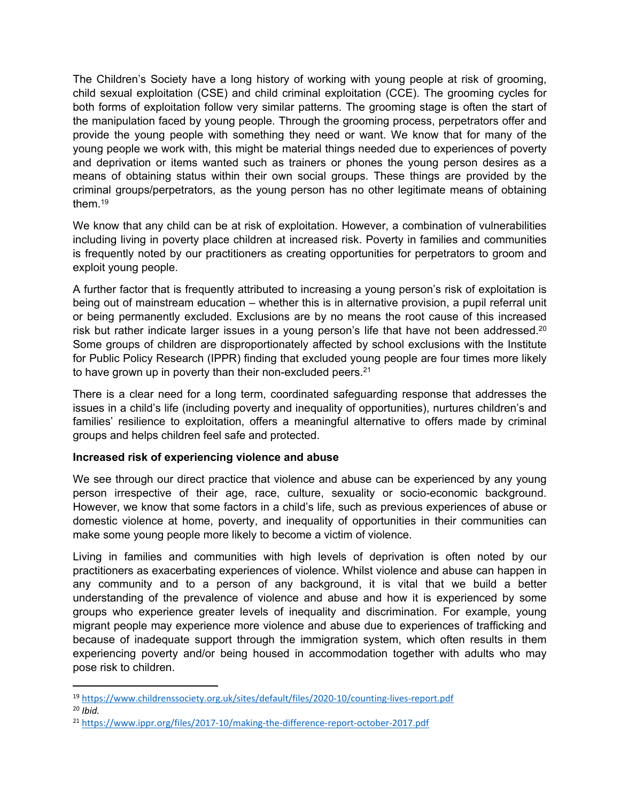The Children's Society have a long history of working with young people at risk of grooming, child sexual exploitation (CSE) and child criminal exploitation (CCE). The grooming cycles for both forms of exploitation follow very similar patterns. The grooming stage is often the start of the manipulation faced by young people. Through the grooming process, perpetrators offer and provide the young people with something they need or want. We know that for many of the young people we work with, this might be material things needed due to experiences of poverty and deprivation or items wanted such as trainers or phones the young person desires as a means of obtaining status within their own social groups. These things are provided by the criminal groups/perpetrators, as the young person has no other legitimate means of obtaining them.<sup>19</sup>

We know that any child can be at risk of exploitation. However, a combination of vulnerabilities including living in poverty place children at increased risk. Poverty in families and communities is frequently noted by our practitioners as creating opportunities for perpetrators to groom and exploit young people.

A further factor that is frequently attributed to increasing a young person's risk of exploitation is being out of mainstream education – whether this is in alternative provision, a pupil referral unit or being permanently excluded. Exclusions are by no means the root cause of this increased risk but rather indicate larger issues in a young person's life that have not been addressed.<sup>20</sup> Some groups of children are disproportionately affected by school exclusions with the Institute for Public Policy Research (IPPR) finding that excluded young people are four times more likely to have grown up in poverty than their non-excluded peers.<sup>21</sup>

There is a clear need for a long term, coordinated safeguarding response that addresses the issues in a child's life (including poverty and inequality of opportunities), nurtures children's and families' resilience to exploitation, offers a meaningful alternative to offers made by criminal groups and helps children feel safe and protected.

#### **Increased risk of experiencing violence and abuse**

We see through our direct practice that violence and abuse can be experienced by any young person irrespective of their age, race, culture, sexuality or socio-economic background. However, we know that some factors in a child's life, such as previous experiences of abuse or domestic violence at home, poverty, and inequality of opportunities in their communities can make some young people more likely to become a victim of violence.

Living in families and communities with high levels of deprivation is often noted by our practitioners as exacerbating experiences of violence. Whilst violence and abuse can happen in any community and to a person of any background, it is vital that we build a better understanding of the prevalence of violence and abuse and how it is experienced by some groups who experience greater levels of inequality and discrimination. For example, young migrant people may experience more violence and abuse due to experiences of trafficking and because of inadequate support through the immigration system, which often results in them experiencing poverty and/or being housed in accommodation together with adults who may pose risk to children.

<sup>19</sup> <https://www.childrenssociety.org.uk/sites/default/files/2020-10/counting-lives-report.pdf>

<sup>20</sup> *Ibid.*

<sup>21</sup> <https://www.ippr.org/files/2017-10/making-the-difference-report-october-2017.pdf>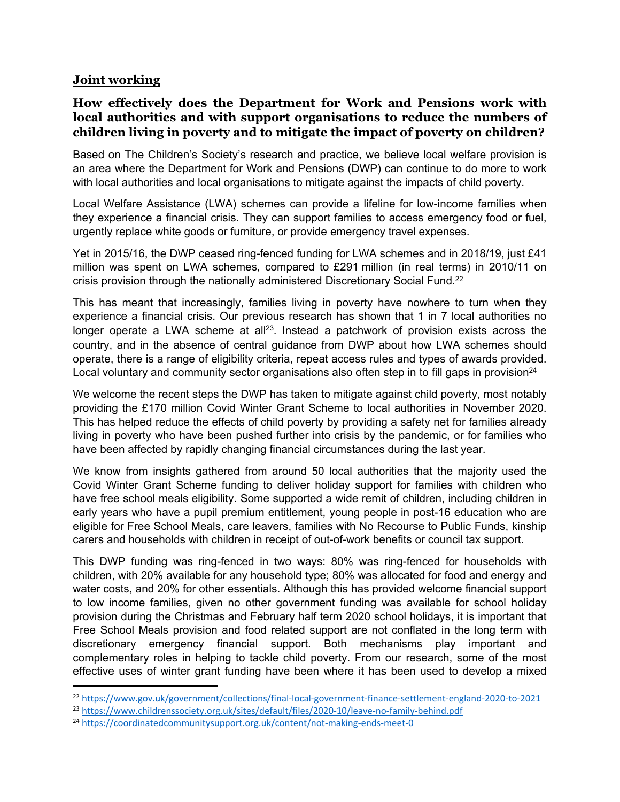#### **Joint working**

## **How effectively does the Department for Work and Pensions work with local authorities and with support organisations to reduce the numbers of children living in poverty and to mitigate the impact of poverty on children?**

Based on The Children's Society's research and practice, we believe local welfare provision is an area where the Department for Work and Pensions (DWP) can continue to do more to work with local authorities and local organisations to mitigate against the impacts of child poverty.

Local Welfare Assistance (LWA) schemes can provide a lifeline for low-income families when they experience a financial crisis. They can support families to access emergency food or fuel, urgently replace white goods or furniture, or provide emergency travel expenses.

Yet in 2015/16, the DWP ceased ring-fenced funding for LWA schemes and in 2018/19, just £41 million was spent on LWA schemes, compared to £291 million (in real terms) in 2010/11 on crisis provision through the nationally administered Discretionary Social Fund.<sup>22</sup>

This has meant that increasingly, families living in poverty have nowhere to turn when they experience a financial crisis. Our previous research has shown that 1 in 7 local authorities no longer operate a LWA scheme at all<sup>23</sup>. Instead a patchwork of provision exists across the country, and in the absence of central guidance from DWP about how LWA schemes should operate, there is a range of eligibility criteria, repeat access rules and types of awards provided. Local voluntary and community sector organisations also often step in to fill gaps in provision<sup>24</sup>

We welcome the recent steps the DWP has taken to mitigate against child poverty, most notably providing the £170 million Covid Winter Grant Scheme to local authorities in November 2020. This has helped reduce the effects of child poverty by providing a safety net for families already living in poverty who have been pushed further into crisis by the pandemic, or for families who have been affected by rapidly changing financial circumstances during the last year.

We know from insights gathered from around 50 local authorities that the majority used the Covid Winter Grant Scheme funding to deliver holiday support for families with children who have free school meals eligibility. Some supported a wide remit of children, including children in early years who have a pupil premium entitlement, young people in post-16 education who are eligible for Free School Meals, care leavers, families with No Recourse to Public Funds, kinship carers and households with children in receipt of out-of-work benefits or council tax support.

This DWP funding was ring-fenced in two ways: 80% was ring-fenced for households with children, with 20% available for any household type; 80% was allocated for food and energy and water costs, and 20% for other essentials. Although this has provided welcome financial support to low income families, given no other government funding was available for school holiday provision during the Christmas and February half term 2020 school holidays, it is important that Free School Meals provision and food related support are not conflated in the long term with discretionary emergency financial support. Both mechanisms play important and complementary roles in helping to tackle child poverty. From our research, some of the most effective uses of winter grant funding have been where it has been used to develop a mixed

<sup>22</sup> <https://www.gov.uk/government/collections/final-local-government-finance-settlement-england-2020-to-2021>

<sup>23</sup> <https://www.childrenssociety.org.uk/sites/default/files/2020-10/leave-no-family-behind.pdf>

<sup>24</sup> <https://coordinatedcommunitysupport.org.uk/content/not-making-ends-meet-0>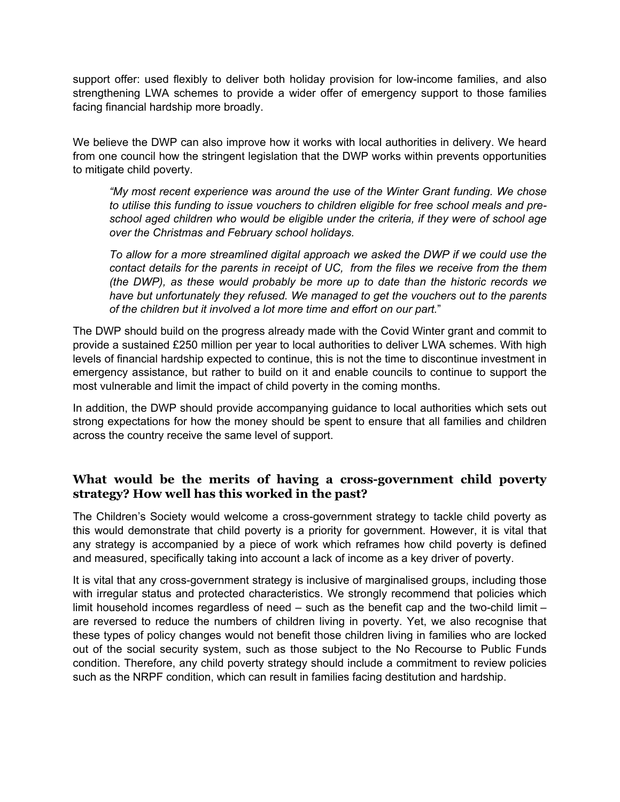support offer: used flexibly to deliver both holiday provision for low-income families, and also strengthening LWA schemes to provide a wider offer of emergency support to those families facing financial hardship more broadly.

We believe the DWP can also improve how it works with local authorities in delivery. We heard from one council how the stringent legislation that the DWP works within prevents opportunities to mitigate child poverty.

*"My most recent experience was around the use of the Winter Grant funding. We chose to utilise this funding to issue vouchers to children eligible for free school meals and preschool aged children who would be eligible under the criteria, if they were of school age over the Christmas and February school holidays.*

*To allow for a more streamlined digital approach we asked the DWP if we could use the contact details for the parents in receipt of UC, from the files we receive from the them (the DWP), as these would probably be more up to date than the historic records we have but unfortunately they refused. We managed to get the vouchers out to the parents of the children but it involved a lot more time and effort on our part.*"

The DWP should build on the progress already made with the Covid Winter grant and commit to provide a sustained £250 million per year to local authorities to deliver LWA schemes. With high levels of financial hardship expected to continue, this is not the time to discontinue investment in emergency assistance, but rather to build on it and enable councils to continue to support the most vulnerable and limit the impact of child poverty in the coming months.

In addition, the DWP should provide accompanying guidance to local authorities which sets out strong expectations for how the money should be spent to ensure that all families and children across the country receive the same level of support.

## **What would be the merits of having a cross-government child poverty strategy? How well has this worked in the past?**

The Children's Society would welcome a cross-government strategy to tackle child poverty as this would demonstrate that child poverty is a priority for government. However, it is vital that any strategy is accompanied by a piece of work which reframes how child poverty is defined and measured, specifically taking into account a lack of income as a key driver of poverty.

It is vital that any cross-government strategy is inclusive of marginalised groups, including those with irregular status and protected characteristics. We strongly recommend that policies which limit household incomes regardless of need – such as the benefit cap and the two-child limit – are reversed to reduce the numbers of children living in poverty. Yet, we also recognise that these types of policy changes would not benefit those children living in families who are locked out of the social security system, such as those subject to the No Recourse to Public Funds condition. Therefore, any child poverty strategy should include a commitment to review policies such as the NRPF condition, which can result in families facing destitution and hardship.